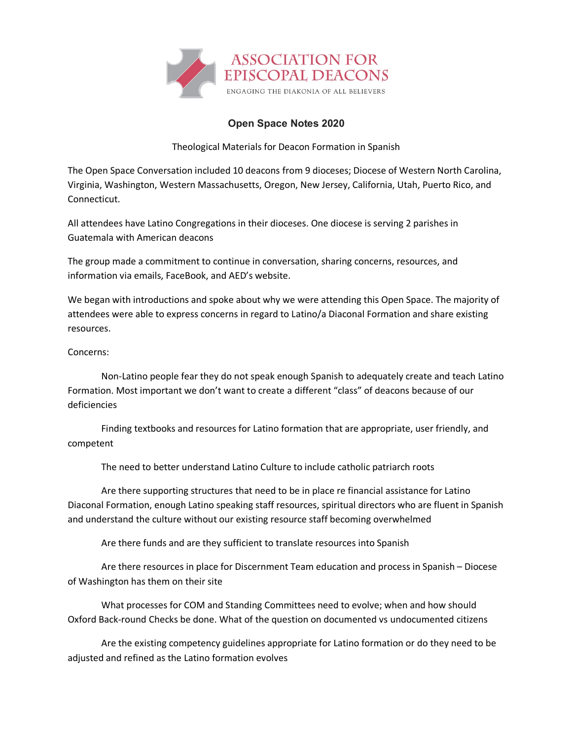

## **Open Space Notes 2020**

Theological Materials for Deacon Formation in Spanish

The Open Space Conversation included 10 deacons from 9 dioceses; Diocese of Western North Carolina, Virginia, Washington, Western Massachusetts, Oregon, New Jersey, California, Utah, Puerto Rico, and Connecticut.

All attendees have Latino Congregations in their dioceses. One diocese is serving 2 parishes in Guatemala with American deacons

The group made a commitment to continue in conversation, sharing concerns, resources, and information via emails, FaceBook, and AED's website.

We began with introductions and spoke about why we were attending this Open Space. The majority of attendees were able to express concerns in regard to Latino/a Diaconal Formation and share existing resources.

## Concerns:

Non-Latino people fear they do not speak enough Spanish to adequately create and teach Latino Formation. Most important we don't want to create a different "class" of deacons because of our deficiencies

Finding textbooks and resources for Latino formation that are appropriate, user friendly, and competent

The need to better understand Latino Culture to include catholic patriarch roots

Are there supporting structures that need to be in place re financial assistance for Latino Diaconal Formation, enough Latino speaking staff resources, spiritual directors who are fluent in Spanish and understand the culture without our existing resource staff becoming overwhelmed

Are there funds and are they sufficient to translate resources into Spanish

Are there resources in place for Discernment Team education and process in Spanish – Diocese of Washington has them on their site

What processes for COM and Standing Committees need to evolve; when and how should Oxford Back-round Checks be done. What of the question on documented vs undocumented citizens

Are the existing competency guidelines appropriate for Latino formation or do they need to be adjusted and refined as the Latino formation evolves